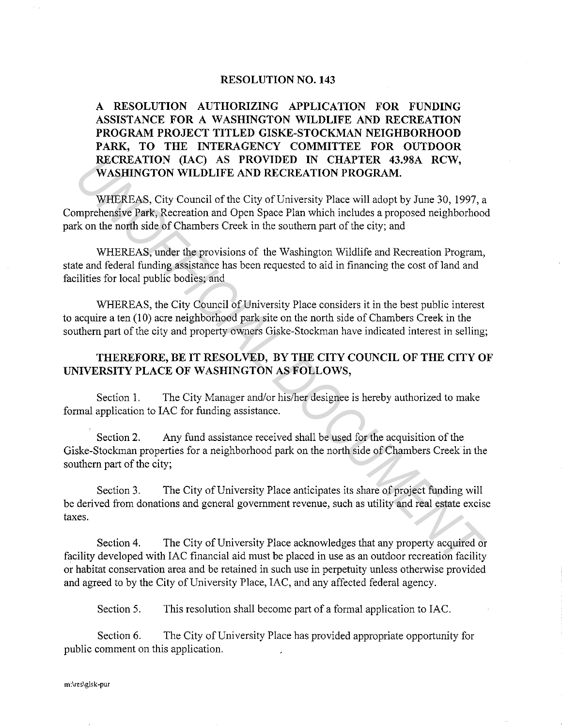## **RESOLUTION NO. 143**

**A RESOLUTION AUTHORIZING APPLICATION FOR FUNDING ASSISTANCE FOR A WASHINGTON WILDLIFE AND RECREATION PROGRAM PROJECT TITLED GISKE-STOCKMAN NEIGHBORHOOD PARK, TO THE INTERAGENCY COMMITTEE FOR OUTDOOR RECREATION (IAC) AS PROVIDED IN CHAPTER 43.98A RCW, WASHINGTON WILDLIFE AND RECREATION PROGRAM.** 

WHEREAS, City Council of the City of University Place will adopt by June 30, 1997, a Comprehensive Park, Recreation and Open Space Plan which includes a proposed neighborhood park on the north side of Chambers Creek in the southern part of the city; and **EXCREMITOR (IAC) AS PROVIDED IN CHAPTER 43.98A RCW,**<br> **WASHINGTON WILDLIFE AND RECREATION PROGRAM.**<br>
WHEREAS, City Council of the City of University Place will adopt by June 30, 1997, a<br>
myrehensive Park, Recreation and O

WHEREAS, under the provisions of the Washington Wildlife and Recreation Program, state and federal funding assistance has been requested to aid in financing the cost of land and facilities for local public bodies; and

WHEREAS, the City Council of University Place considers it in the best public interest to acquire a ten (10) acre neighborhood park site on the north side of Chambers Creek in the southern part of the city and property owners Giske-Stockman have indicated interest in selling;

## **THEREFORE, BE IT RESOLVED, BY THE CITY COUNCIL OF THE CITY OF UNIVERSITY PLACE OF WASHINGTON AS FOLLOWS,**

Section 1. The City Manager and/or his/her designee is hereby authorized to make formal application to IAC for funding assistance.

Section 2. Any fund assistance received shall be used for the acquisition of the Giske-Stockman properties for a neighborhood park on the north side of Chambers Creek in the southern part of the city;

Section 3. The City of University Place anticipates its share of project funding will be derived from donations and general government revenue, such as utility and real estate excise taxes.

Section **4.** The City of University Place acknowledges that any property acquired or facility developed with IAC financial aid must be placed in use as an outdoor recreation facility or habitat conservation area and be retained in such use in perpetuity unless otherwise provided and agreed to by the City of University Place, IAC, and any affected federal agency.

Section 5. This resolution shall become part of a formal application to IAC.

Section 6. The City of University Place has provided appropriate opportunity for public comment on this application.